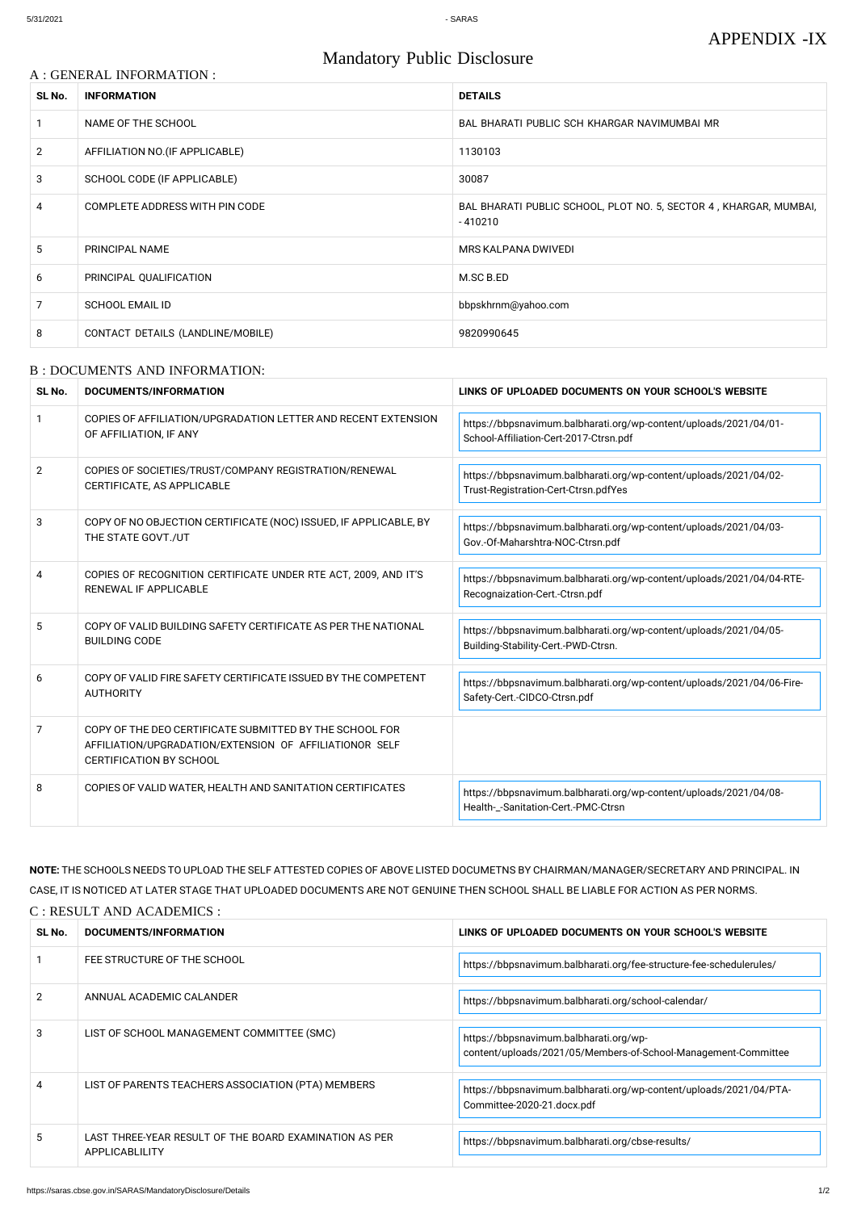#### A : GENERAL INFORMATION :

# Mandatory Public Disclosure

| SL No.         | <b>INFORMATION</b>                | <b>DETAILS</b>                                                                 |
|----------------|-----------------------------------|--------------------------------------------------------------------------------|
|                | NAME OF THE SCHOOL                | BAL BHARATI PUBLIC SCH KHARGAR NAVIMUMBAI MR                                   |
| $\overline{2}$ | AFFILIATION NO. (IF APPLICABLE)   | 1130103                                                                        |
| 3              | SCHOOL CODE (IF APPLICABLE)       | 30087                                                                          |
| 4              | COMPLETE ADDRESS WITH PIN CODE    | BAL BHARATI PUBLIC SCHOOL, PLOT NO. 5, SECTOR 4, KHARGAR, MUMBAI,<br>$-410210$ |
| 5              | PRINCIPAL NAME                    | MRS KALPANA DWIVEDI                                                            |
| 6              | PRINCIPAL QUALIFICATION           | M.SC B.ED                                                                      |
| 7              | SCHOOL EMAIL ID                   | bbpskhrnm@yahoo.com                                                            |
| 8              | CONTACT DETAILS (LANDLINE/MOBILE) | 9820990645                                                                     |

#### B : DOCUMENTS AND INFORMATION:

| SL No.                | DOCUMENTS/INFORMATION                                                                                                                                | LINKS OF UPLOADED DOCUMENTS ON YOUR SCHOOL'S WEBSITE                                                        |
|-----------------------|------------------------------------------------------------------------------------------------------------------------------------------------------|-------------------------------------------------------------------------------------------------------------|
| 1                     | COPIES OF AFFILIATION/UPGRADATION LETTER AND RECENT EXTENSION<br>OF AFFILIATION, IF ANY                                                              | https://bbpsnavimum.balbharati.org/wp-content/uploads/2021/04/01-<br>School-Affiliation-Cert-2017-Ctrsn.pdf |
| $\mathbf{2}^{\prime}$ | COPIES OF SOCIETIES/TRUST/COMPANY REGISTRATION/RENEWAL<br>CERTIFICATE, AS APPLICABLE                                                                 | https://bbpsnavimum.balbharati.org/wp-content/uploads/2021/04/02-<br>Trust-Registration-Cert-Ctrsn.pdfYes   |
| 3                     | COPY OF NO OBJECTION CERTIFICATE (NOC) ISSUED, IF APPLICABLE, BY<br>THE STATE GOVT./UT                                                               | https://bbpsnavimum.balbharati.org/wp-content/uploads/2021/04/03-<br>Gov.-Of-Maharshtra-NOC-Ctrsn.pdf       |
| 4                     | COPIES OF RECOGNITION CERTIFICATE UNDER RTE ACT, 2009, AND IT'S<br>RENEWAL IF APPLICABLE                                                             | https://bbpsnavimum.balbharati.org/wp-content/uploads/2021/04/04-RTE-<br>Recognaization-Cert.-Ctrsn.pdf     |
| 5                     | COPY OF VALID BUILDING SAFETY CERTIFICATE AS PER THE NATIONAL<br><b>BUILDING CODE</b>                                                                | https://bbpsnavimum.balbharati.org/wp-content/uploads/2021/04/05-<br>Building-Stability-Cert.-PWD-Ctrsn.    |
| 6                     | COPY OF VALID FIRE SAFETY CERTIFICATE ISSUED BY THE COMPETENT<br><b>AUTHORITY</b>                                                                    | https://bbpsnavimum.balbharati.org/wp-content/uploads/2021/04/06-Fire-<br>Safety-Cert.-CIDCO-Ctrsn.pdf      |
| 7                     | COPY OF THE DEO CERTIFICATE SUBMITTED BY THE SCHOOL FOR<br>AFFILIATION/UPGRADATION/EXTENSION OF AFFILIATIONOR SELF<br><b>CERTIFICATION BY SCHOOL</b> |                                                                                                             |
| 8                     | COPIES OF VALID WATER, HEALTH AND SANITATION CERTIFICATES                                                                                            | https://bbpsnavimum.balbharati.org/wp-content/uploads/2021/04/08-<br>Health-_-Sanitation-Cert.-PMC-Ctrsn    |

**NOTE:** THE SCHOOLS NEEDS TO UPLOAD THE SELF ATTESTED COPIES OF ABOVE LISTED DOCUMETNS BY CHAIRMAN/MANAGER/SECRETARY AND PRINCIPAL. IN CASE, IT IS NOTICED AT LATER STAGE THAT UPLOADED DOCUMENTS ARE NOT GENUINE THEN SCHOOL SHALL BE LIABLE FOR ACTION AS PER NORMS. C : RESULT AND ACADEMICS :

| SL No.        | DOCUMENTS/INFORMATION                                                    | LINKS OF UPLOADED DOCUMENTS ON YOUR SCHOOL'S WEBSITE                                                     |
|---------------|--------------------------------------------------------------------------|----------------------------------------------------------------------------------------------------------|
|               | FEE STRUCTURE OF THE SCHOOL                                              | https://bbpsnavimum.balbharati.org/fee-structure-fee-schedulerules/                                      |
| $\mathcal{P}$ | ANNUAL ACADEMIC CALANDER                                                 | https://bbpsnavimum.balbharati.org/school-calendar/                                                      |
| 3             | LIST OF SCHOOL MANAGEMENT COMMITTEE (SMC)                                | https://bbpsnavimum.balbharati.org/wp-<br>content/uploads/2021/05/Members-of-School-Management-Committee |
|               | LIST OF PARENTS TEACHERS ASSOCIATION (PTA) MEMBERS                       | https://bbpsnavimum.balbharati.org/wp-content/uploads/2021/04/PTA-<br>Committee-2020-21.docx.pdf         |
| 5.            | LAST THREE-YEAR RESULT OF THE BOARD EXAMINATION AS PER<br>APPLICABLILITY | https://bbpsnavimum.balbharati.org/cbse-results/                                                         |